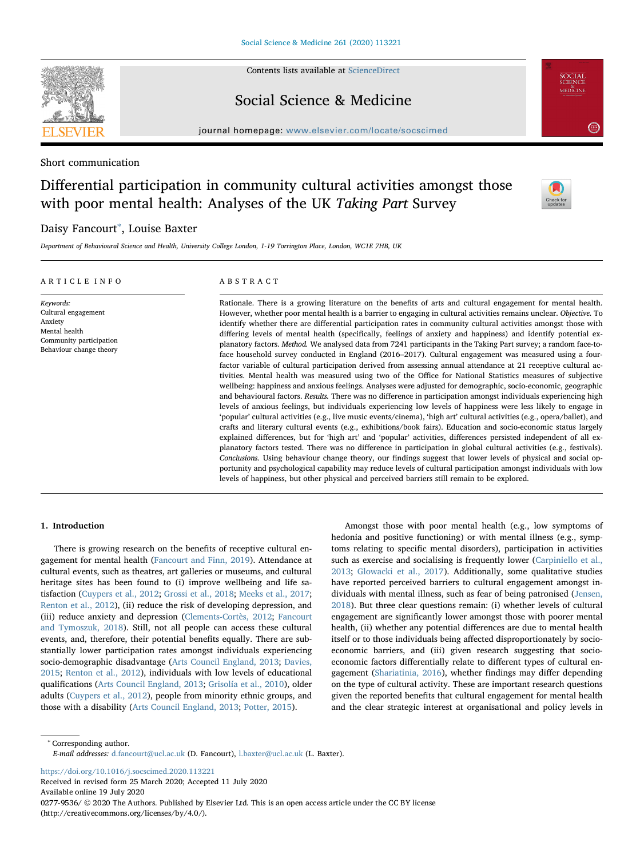

Contents lists available at [ScienceDirect](http://www.sciencedirect.com/science/journal/02779536)

## Social Science & Medicine

journal homepage: [www.elsevier.com/locate/socscimed](https://www.elsevier.com/locate/socscimed)

Short communication

# Differential participation in community cultural activities amongst those with poor mental health: Analyses of the UK Taking Part Survey



**SOCIAL**<br>SCIENCE<br>MEDICINE

## Daisy Fancourt[∗](#page-0-0) , Louise Baxter

Department of Behavioural Science and Health, University College London, 1-19 Torrington Place, London, WC1E 7HB, UK

#### ARTICLE INFO Keywords: Cultural engagement Anxiety Mental health Community participation Behaviour change theory ABSTRACT Rationale. There is a growing literature on the benefits of arts and cultural engagement for mental health. However, whether poor mental health is a barrier to engaging in cultural activities remains unclear. Objective. To identify whether there are differential participation rates in community cultural activities amongst those with differing levels of mental health (specifically, feelings of anxiety and happiness) and identify potential explanatory factors. Method. We analysed data from 7241 participants in the Taking Part survey; a random face-toface household survey conducted in England (2016–2017). Cultural engagement was measured using a fourfactor variable of cultural participation derived from assessing annual attendance at 21 receptive cultural activities. Mental health was measured using two of the Office for National Statistics measures of subjective wellbeing: happiness and anxious feelings. Analyses were adjusted for demographic, socio-economic, geographic

and behavioural factors. Results. There was no difference in participation amongst individuals experiencing high levels of anxious feelings, but individuals experiencing low levels of happiness were less likely to engage in 'popular' cultural activities (e.g., live music events/cinema), 'high art' cultural activities (e.g., opera/ballet), and crafts and literary cultural events (e.g., exhibitions/book fairs). Education and socio-economic status largely explained differences, but for 'high art' and 'popular' activities, differences persisted independent of all explanatory factors tested. There was no difference in participation in global cultural activities (e.g., festivals). Conclusions. Using behaviour change theory, our findings suggest that lower levels of physical and social opportunity and psychological capability may reduce levels of cultural participation amongst individuals with low levels of happiness, but other physical and perceived barriers still remain to be explored.

## 1. Introduction

There is growing research on the benefits of receptive cultural engagement for mental health ([Fancourt and Finn, 2019](#page-4-0)). Attendance at cultural events, such as theatres, art galleries or museums, and cultural heritage sites has been found to (i) improve wellbeing and life satisfaction ([Cuypers et al., 2012](#page-4-1); [Grossi et al., 2018;](#page-5-0) [Meeks et al., 2017](#page-5-1); [Renton et al., 2012\)](#page-5-2), (ii) reduce the risk of developing depression, and (iii) reduce anxiety and depression [\(Clements-Cortès, 2012;](#page-4-2) [Fancourt](#page-4-3) [and Tymoszuk, 2018](#page-4-3)). Still, not all people can access these cultural events, and, therefore, their potential benefits equally. There are substantially lower participation rates amongst individuals experiencing socio-demographic disadvantage [\(Arts Council England, 2013](#page-4-4); [Davies,](#page-4-5) [2015;](#page-4-5) [Renton et al., 2012](#page-5-2)), individuals with low levels of educational qualifications ([Arts Council England, 2013](#page-4-4); [Grisolía et al., 2010\)](#page-5-3), older adults ([Cuypers et al., 2012](#page-4-1)), people from minority ethnic groups, and those with a disability ([Arts Council England, 2013;](#page-4-4) [Potter, 2015\)](#page-5-4).

Amongst those with poor mental health (e.g., low symptoms of hedonia and positive functioning) or with mental illness (e.g., symptoms relating to specific mental disorders), participation in activities such as exercise and socialising is frequently lower [\(Carpiniello et al.,](#page-4-6) [2013;](#page-4-6) [Glowacki et al., 2017\)](#page-4-7). Additionally, some qualitative studies have reported perceived barriers to cultural engagement amongst individuals with mental illness, such as fear of being patronised ([Jensen,](#page-5-5) [2018\)](#page-5-5). But three clear questions remain: (i) whether levels of cultural engagement are significantly lower amongst those with poorer mental health, (ii) whether any potential differences are due to mental health itself or to those individuals being affected disproportionately by socioeconomic barriers, and (iii) given research suggesting that socioeconomic factors differentially relate to different types of cultural engagement ([Shariatinia, 2016\)](#page-5-6), whether findings may differ depending on the type of cultural activity. These are important research questions given the reported benefits that cultural engagement for mental health and the clear strategic interest at organisational and policy levels in

<span id="page-0-0"></span><sup>∗</sup> Corresponding author. E-mail addresses: [d.fancourt@ucl.ac.uk](mailto:d.fancourt@ucl.ac.uk) (D. Fancourt), [l.baxter@ucl.ac.uk](mailto:l.baxter@ucl.ac.uk) (L. Baxter).

<https://doi.org/10.1016/j.socscimed.2020.113221> Received in revised form 25 March 2020; Accepted 11 July 2020

Available online 19 July 2020 0277-9536/  $\circ$  2020 The Authors. Published by Elsevier Ltd. This is an open access article under the CC BY license (http://creativecommons.org/licenses/by/4.0/).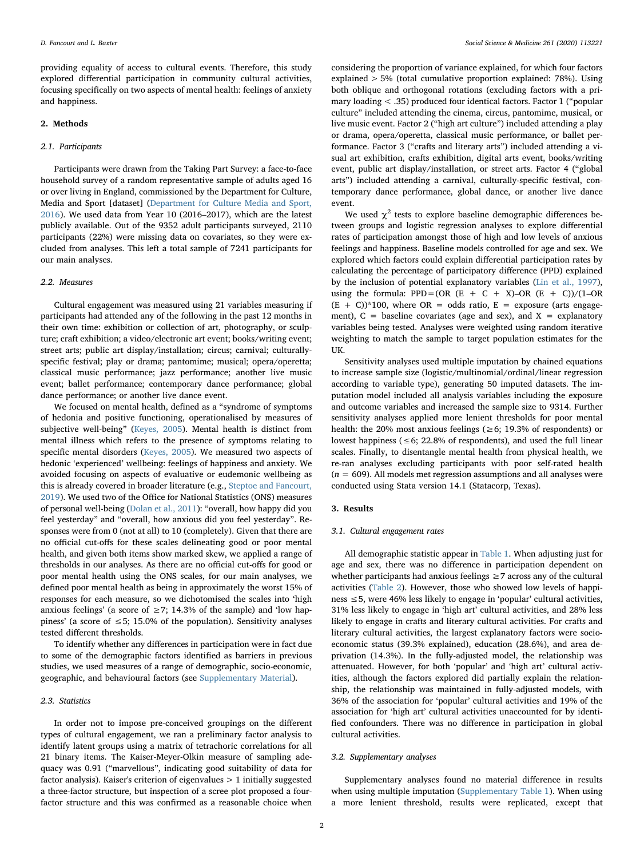providing equality of access to cultural events. Therefore, this study explored differential participation in community cultural activities, focusing specifically on two aspects of mental health: feelings of anxiety and happiness.

### 2. Methods

#### 2.1. Participants

Participants were drawn from the Taking Part Survey: a face-to-face household survey of a random representative sample of adults aged 16 or over living in England, commissioned by the Department for Culture, Media and Sport [dataset] ([Department for Culture Media and Sport,](#page-4-8) [2016\)](#page-4-8). We used data from Year 10 (2016–2017), which are the latest publicly available. Out of the 9352 adult participants surveyed, 2110 participants (22%) were missing data on covariates, so they were excluded from analyses. This left a total sample of 7241 participants for our main analyses.

#### 2.2. Measures

Cultural engagement was measured using 21 variables measuring if participants had attended any of the following in the past 12 months in their own time: exhibition or collection of art, photography, or sculpture; craft exhibition; a video/electronic art event; books/writing event; street arts; public art display/installation; circus; carnival; culturallyspecific festival; play or drama; pantomime; musical; opera/operetta; classical music performance; jazz performance; another live music event; ballet performance; contemporary dance performance; global dance performance; or another live dance event.

We focused on mental health, defined as a "syndrome of symptoms of hedonia and positive functioning, operationalised by measures of subjective well-being" [\(Keyes, 2005\)](#page-5-7). Mental health is distinct from mental illness which refers to the presence of symptoms relating to specific mental disorders [\(Keyes, 2005\)](#page-5-7). We measured two aspects of hedonic 'experienced' wellbeing: feelings of happiness and anxiety. We avoided focusing on aspects of evaluative or eudemonic wellbeing as this is already covered in broader literature (e.g., [Steptoe and Fancourt,](#page-5-8) [2019\)](#page-5-8). We used two of the Office for National Statistics (ONS) measures of personal well-being [\(Dolan et al., 2011](#page-4-9)): "overall, how happy did you feel yesterday" and "overall, how anxious did you feel yesterday". Responses were from 0 (not at all) to 10 (completely). Given that there are no official cut-offs for these scales delineating good or poor mental health, and given both items show marked skew, we applied a range of thresholds in our analyses. As there are no official cut-offs for good or poor mental health using the ONS scales, for our main analyses, we defined poor mental health as being in approximately the worst 15% of responses for each measure, so we dichotomised the scales into 'high anxious feelings' (a score of  $\geq$ 7; 14.3% of the sample) and 'low happiness' (a score of  $\leq$  5; 15.0% of the population). Sensitivity analyses tested different thresholds.

To identify whether any differences in participation were in fact due to some of the demographic factors identified as barriers in previous studies, we used measures of a range of demographic, socio-economic, geographic, and behavioural factors (see Supplementary Material).

## 2.3. Statistics

In order not to impose pre-conceived groupings on the different types of cultural engagement, we ran a preliminary factor analysis to identify latent groups using a matrix of tetrachoric correlations for all 21 binary items. The Kaiser-Meyer-Olkin measure of sampling adequacy was 0.91 ("marvellous", indicating good suitability of data for factor analysis). Kaiser's criterion of eigenvalues > 1 initially suggested a three-factor structure, but inspection of a scree plot proposed a fourfactor structure and this was confirmed as a reasonable choice when

considering the proportion of variance explained, for which four factors explained > 5% (total cumulative proportion explained: 78%). Using both oblique and orthogonal rotations (excluding factors with a primary loading < .35) produced four identical factors. Factor 1 ("popular culture" included attending the cinema, circus, pantomime, musical, or live music event. Factor 2 ("high art culture") included attending a play or drama, opera/operetta, classical music performance, or ballet performance. Factor 3 ("crafts and literary arts") included attending a visual art exhibition, crafts exhibition, digital arts event, books/writing event, public art display/installation, or street arts. Factor 4 ("global arts") included attending a carnival, culturally-specific festival, contemporary dance performance, global dance, or another live dance event.

We used  $\chi^2$  tests to explore baseline demographic differences between groups and logistic regression analyses to explore differential rates of participation amongst those of high and low levels of anxious feelings and happiness. Baseline models controlled for age and sex. We explored which factors could explain differential participation rates by calculating the percentage of participatory difference (PPD) explained by the inclusion of potential explanatory variables [\(Lin et al., 1997](#page-5-9)), using the formula:  $PPD = (OR (E + C + X)-OR (E + C))/(1-OR)$  $(E + C)*100$ , where OR = odds ratio, E = exposure (arts engagement),  $C =$  baseline covariates (age and sex), and  $X =$  explanatory variables being tested. Analyses were weighted using random iterative weighting to match the sample to target population estimates for the UK.

Sensitivity analyses used multiple imputation by chained equations to increase sample size (logistic/multinomial/ordinal/linear regression according to variable type), generating 50 imputed datasets. The imputation model included all analysis variables including the exposure and outcome variables and increased the sample size to 9314. Further sensitivity analyses applied more lenient thresholds for poor mental health: the 20% most anxious feelings ( $\geq 6$ ; 19.3% of respondents) or lowest happiness ( $\leq 6$ ; 22.8% of respondents), and used the full linear scales. Finally, to disentangle mental health from physical health, we re-ran analyses excluding participants with poor self-rated health  $(n = 609)$ . All models met regression assumptions and all analyses were conducted using Stata version 14.1 (Statacorp, Texas).

#### 3. Results

#### 3.1. Cultural engagement rates

All demographic statistic appear in [Table 1.](#page-2-0) When adjusting just for age and sex, there was no difference in participation dependent on whether participants had anxious feelings ≥7 across any of the cultural activities [\(Table 2](#page-3-0)). However, those who showed low levels of happiness ≤5, were 46% less likely to engage in 'popular' cultural activities, 31% less likely to engage in 'high art' cultural activities, and 28% less likely to engage in crafts and literary cultural activities. For crafts and literary cultural activities, the largest explanatory factors were socioeconomic status (39.3% explained), education (28.6%), and area deprivation (14.3%). In the fully-adjusted model, the relationship was attenuated. However, for both 'popular' and 'high art' cultural activities, although the factors explored did partially explain the relationship, the relationship was maintained in fully-adjusted models, with 36% of the association for 'popular' cultural activities and 19% of the association for 'high art' cultural activities unaccounted for by identified confounders. There was no difference in participation in global cultural activities.

#### 3.2. Supplementary analyses

Supplementary analyses found no material difference in results when using multiple imputation (Supplementary Table 1). When using a more lenient threshold, results were replicated, except that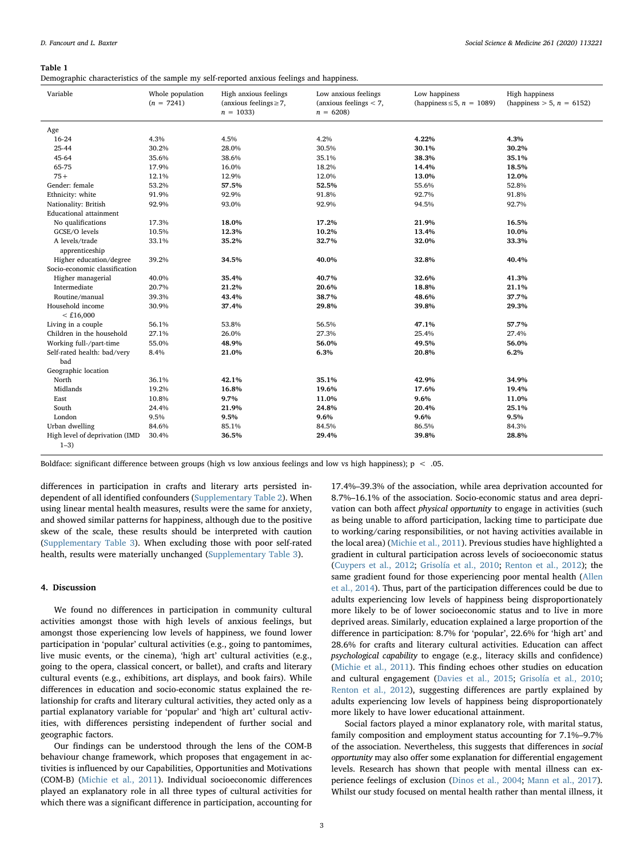#### <span id="page-2-0"></span>Table 1

Demographic characteristics of the sample my self-reported anxious feelings and happiness.

| Variable                                  | Whole population<br>$(n = 7241)$ | High anxious feelings<br>(anxious feelings $\geq$ 7,<br>$n = 1033$ | Low anxious feelings<br>(anxious feelings $<$ 7,<br>$n = 6208$ | Low happiness<br>(happiness $\leq$ 5, $n = 1089$ ) | High happiness<br>(happiness > 5, $n = 6152$ ) |
|-------------------------------------------|----------------------------------|--------------------------------------------------------------------|----------------------------------------------------------------|----------------------------------------------------|------------------------------------------------|
| Age                                       |                                  |                                                                    |                                                                |                                                    |                                                |
| 16-24                                     | 4.3%                             | 4.5%                                                               | 4.2%                                                           | 4.22%                                              | 4.3%                                           |
| 25-44                                     | 30.2%                            | 28.0%                                                              | 30.5%                                                          | 30.1%                                              | 30.2%                                          |
| 45-64                                     | 35.6%                            | 38.6%                                                              | 35.1%                                                          | 38.3%                                              | 35.1%                                          |
| 65-75                                     | 17.9%                            | 16.0%                                                              | 18.2%                                                          | 14.4%                                              | 18.5%                                          |
| $75+$                                     | 12.1%                            | 12.9%                                                              | 12.0%                                                          | 13.0%                                              | 12.0%                                          |
| Gender: female                            | 53.2%                            | 57.5%                                                              | 52.5%                                                          | 55.6%                                              | 52.8%                                          |
| Ethnicity: white                          | 91.9%                            | 92.9%                                                              | 91.8%                                                          | 92.7%                                              | 91.8%                                          |
| Nationality: British                      | 92.9%                            | 93.0%                                                              | 92.9%                                                          | 94.5%                                              | 92.7%                                          |
| <b>Educational attainment</b>             |                                  |                                                                    |                                                                |                                                    |                                                |
| No qualifications                         | 17.3%                            | 18.0%                                                              | 17.2%                                                          | 21.9%                                              | 16.5%                                          |
| GCSE/O levels                             | 10.5%                            | 12.3%                                                              | 10.2%                                                          | 13.4%                                              | 10.0%                                          |
| A levels/trade<br>apprenticeship          | 33.1%                            | 35.2%                                                              | 32.7%                                                          | 32.0%                                              | 33.3%                                          |
| Higher education/degree                   | 39.2%                            | 34.5%                                                              | 40.0%                                                          | 32.8%                                              | 40.4%                                          |
| Socio-economic classification             |                                  |                                                                    |                                                                |                                                    |                                                |
| Higher managerial                         | 40.0%                            | 35.4%                                                              | 40.7%                                                          | 32.6%                                              | 41.3%                                          |
| Intermediate                              | 20.7%                            | 21.2%                                                              | 20.6%                                                          | 18.8%                                              | 21.1%                                          |
| Routine/manual                            | 39.3%                            | 43.4%                                                              | 38.7%                                                          | 48.6%                                              | 37.7%                                          |
| Household income                          | 30.9%                            | 37.4%                                                              | 29.8%                                                          | 39.8%                                              | 29.3%                                          |
| $<$ £16,000                               |                                  |                                                                    |                                                                |                                                    |                                                |
| Living in a couple                        | 56.1%                            | 53.8%                                                              | 56.5%                                                          | 47.1%                                              | 57.7%                                          |
| Children in the household                 | 27.1%                            | 26.0%                                                              | 27.3%                                                          | 25.4%                                              | 27.4%                                          |
| Working full-/part-time                   | 55.0%                            | 48.9%                                                              | 56.0%                                                          | 49.5%                                              | 56.0%                                          |
| Self-rated health: bad/very<br>bad        | 8.4%                             | 21.0%                                                              | 6.3%                                                           | 20.8%                                              | 6.2%                                           |
| Geographic location                       |                                  |                                                                    |                                                                |                                                    |                                                |
| North                                     | 36.1%                            | 42.1%                                                              | 35.1%                                                          | 42.9%                                              | 34.9%                                          |
| Midlands                                  | 19.2%                            | 16.8%                                                              | 19.6%                                                          | 17.6%                                              | 19.4%                                          |
| East                                      | 10.8%                            | 9.7%                                                               | 11.0%                                                          | 9.6%                                               | 11.0%                                          |
| South                                     | 24.4%                            | 21.9%                                                              | 24.8%                                                          | 20.4%                                              | 25.1%                                          |
| London                                    |                                  |                                                                    | 9.6%                                                           | 9.6%                                               |                                                |
| Urban dwelling                            | 9.5%<br>84.6%                    | 9.5%<br>85.1%                                                      | 84.5%                                                          | 86.5%                                              | 9.5%<br>84.3%                                  |
|                                           |                                  |                                                                    |                                                                |                                                    |                                                |
| High level of deprivation (IMD<br>$1 - 3$ | 30.4%                            | 36.5%                                                              | 29.4%                                                          | 39.8%                                              | 28.8%                                          |

Boldface: significant difference between groups (high vs low anxious feelings and low vs high happiness);  $p < .05$ .

differences in participation in crafts and literary arts persisted independent of all identified confounders (Supplementary Table 2). When using linear mental health measures, results were the same for anxiety, and showed similar patterns for happiness, although due to the positive skew of the scale, these results should be interpreted with caution (Supplementary Table 3). When excluding those with poor self-rated health, results were materially unchanged (Supplementary Table 3).

## 4. Discussion

We found no differences in participation in community cultural activities amongst those with high levels of anxious feelings, but amongst those experiencing low levels of happiness, we found lower participation in 'popular' cultural activities (e.g., going to pantomimes, live music events, or the cinema), 'high art' cultural activities (e.g., going to the opera, classical concert, or ballet), and crafts and literary cultural events (e.g., exhibitions, art displays, and book fairs). While differences in education and socio-economic status explained the relationship for crafts and literary cultural activities, they acted only as a partial explanatory variable for 'popular' and 'high art' cultural activities, with differences persisting independent of further social and geographic factors.

Our findings can be understood through the lens of the COM-B behaviour change framework, which proposes that engagement in activities is influenced by our Capabilities, Opportunities and Motivations (COM-B) ([Michie et al., 2011](#page-5-10)). Individual socioeconomic differences played an explanatory role in all three types of cultural activities for which there was a significant difference in participation, accounting for

17.4%–39.3% of the association, while area deprivation accounted for 8.7%–16.1% of the association. Socio-economic status and area deprivation can both affect physical opportunity to engage in activities (such as being unable to afford participation, lacking time to participate due to working/caring responsibilities, or not having activities available in the local area) ([Michie et al., 2011\)](#page-5-10). Previous studies have highlighted a gradient in cultural participation across levels of socioeconomic status ([Cuypers et al., 2012](#page-4-1); [Grisolía et al., 2010;](#page-5-3) [Renton et al., 2012\)](#page-5-2); the same gradient found for those experiencing poor mental health [\(Allen](#page-4-10) [et al., 2014\)](#page-4-10). Thus, part of the participation differences could be due to adults experiencing low levels of happiness being disproportionately more likely to be of lower socioeconomic status and to live in more deprived areas. Similarly, education explained a large proportion of the difference in participation: 8.7% for 'popular', 22.6% for 'high art' and 28.6% for crafts and literary cultural activities. Education can affect psychological capability to engage (e.g., literacy skills and confidence) ([Michie et al., 2011\)](#page-5-10). This finding echoes other studies on education and cultural engagement [\(Davies et al., 2015;](#page-4-11) [Grisolía et al., 2010](#page-5-3); [Renton et al., 2012\)](#page-5-2), suggesting differences are partly explained by adults experiencing low levels of happiness being disproportionately more likely to have lower educational attainment.

Social factors played a minor explanatory role, with marital status, family composition and employment status accounting for 7.1%–9.7% of the association. Nevertheless, this suggests that differences in social opportunity may also offer some explanation for differential engagement levels. Research has shown that people with mental illness can experience feelings of exclusion [\(Dinos et al., 2004;](#page-4-12) [Mann et al., 2017](#page-5-11)). Whilst our study focused on mental health rather than mental illness, it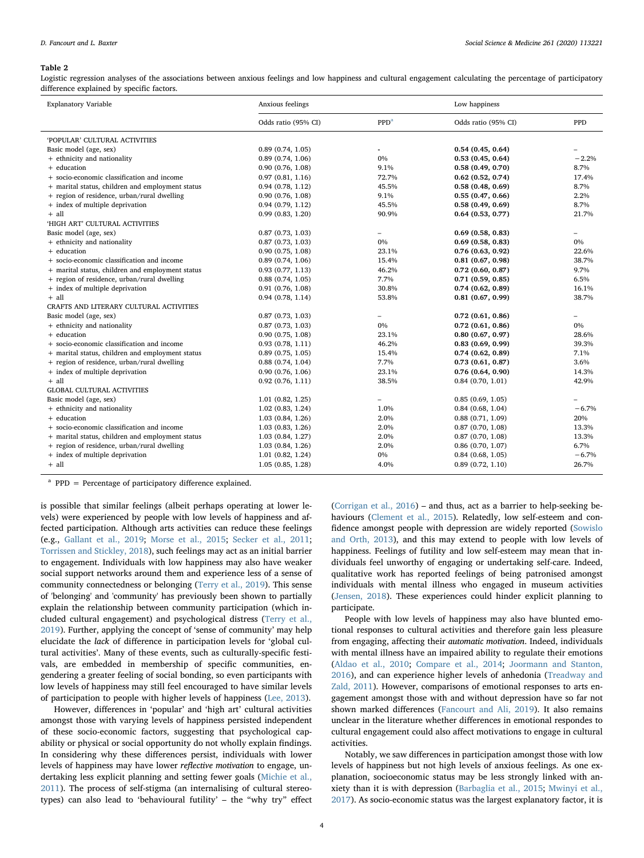#### <span id="page-3-0"></span>Table 2

Logistic regression analyses of the associations between anxious feelings and low happiness and cultural engagement calculating the percentage of participatory difference explained by specific factors.

| <b>Explanatory Variable</b>                      | Anxious feelings      |                          | Low happiness         |                          |  |
|--------------------------------------------------|-----------------------|--------------------------|-----------------------|--------------------------|--|
|                                                  | Odds ratio (95% CI)   | PPD <sup>a</sup>         | Odds ratio (95% CI)   | <b>PPD</b>               |  |
| 'POPULAR' CULTURAL ACTIVITIES                    |                       |                          |                       |                          |  |
| Basic model (age, sex)                           | 0.89(0.74, 1.05)      | ä,                       | 0.54(0.45, 0.64)      |                          |  |
| + ethnicity and nationality                      | 0.89(0.74, 1.06)      | 0%                       | 0.53(0.45, 0.64)      | $-2.2%$                  |  |
| + education                                      | 0.90(0.76, 1.08)      | 9.1%                     | 0.58(0.49, 0.70)      | 8.7%                     |  |
| + socio-economic classification and income       | 0.97(0.81, 1.16)      | 72.7%                    | 0.62(0.52, 0.74)      | 17.4%                    |  |
| + marital status, children and employment status | 0.94(0.78, 1.12)      | 45.5%                    | 0.58(0.48, 0.69)      | 8.7%                     |  |
| + region of residence, urban/rural dwelling      | 0.90(0.76, 1.08)      | 9.1%                     | 0.55(0.47, 0.66)      | 2.2%                     |  |
| + index of multiple deprivation                  | 0.94(0.79, 1.12)      | 45.5%                    | 0.58(0.49, 0.69)      | 8.7%                     |  |
| $+$ all                                          | 0.99(0.83, 1.20)      | 90.9%                    | $0.64$ (0.53, 0.77)   | 21.7%                    |  |
| 'HIGH ART' CULTURAL ACTIVITIES                   |                       |                          |                       |                          |  |
| Basic model (age, sex)                           | 0.87(0.73, 1.03)      | -                        | 0.69(0.58, 0.83)      | $\overline{\phantom{0}}$ |  |
| + ethnicity and nationality                      | $0.87$ $(0.73, 1.03)$ | 0%                       | 0.69(0.58, 0.83)      | 0%                       |  |
| + education                                      | 0.90(0.75, 1.08)      | 23.1%                    | 0.76(0.63, 0.92)      | 22.6%                    |  |
| + socio-economic classification and income       | 0.89(0.74, 1.06)      | 15.4%                    | 0.81(0.67, 0.98)      | 38.7%                    |  |
| + marital status, children and employment status | 0.93(0.77, 1.13)      | 46.2%                    | 0.72(0.60, 0.87)      | 9.7%                     |  |
| + region of residence, urban/rural dwelling      | 0.88(0.74, 1.05)      | 7.7%                     | 0.71(0.59, 0.85)      | 6.5%                     |  |
| + index of multiple deprivation                  | 0.91(0.76, 1.08)      | 30.8%                    | 0.74(0.62, 0.89)      | 16.1%                    |  |
| $+$ all                                          | 0.94(0.78, 1.14)      | 53.8%                    | 0.81(0.67, 0.99)      | 38.7%                    |  |
| CRAFTS AND LITERARY CULTURAL ACTIVITIES          |                       |                          |                       |                          |  |
| Basic model (age, sex)                           | 0.87(0.73, 1.03)      | $\overline{\phantom{0}}$ | 0.72(0.61, 0.86)      | $\equiv$                 |  |
| + ethnicity and nationality                      | 0.87(0.73, 1.03)      | 0%                       | 0.72(0.61, 0.86)      | 0%                       |  |
| + education                                      | 0.90(0.75, 1.08)      | 23.1%                    | 0.80(0.67, 0.97)      | 28.6%                    |  |
| + socio-economic classification and income       | 0.93(0.78, 1.11)      | 46.2%                    | 0.83(0.69, 0.99)      | 39.3%                    |  |
| + marital status, children and employment status | 0.89(0.75, 1.05)      | 15.4%                    | 0.74(0.62, 0.89)      | 7.1%                     |  |
| + region of residence, urban/rural dwelling      | 0.88(0.74, 1.04)      | 7.7%                     | 0.73(0.61, 0.87)      | 3.6%                     |  |
| + index of multiple deprivation                  | 0.90(0.76, 1.06)      | 23.1%                    | 0.76(0.64, 0.90)      | 14.3%                    |  |
| $+$ all                                          | 0.92(0.76, 1.11)      | 38.5%                    | 0.84(0.70, 1.01)      | 42.9%                    |  |
| <b>GLOBAL CULTURAL ACTIVITIES</b>                |                       |                          |                       |                          |  |
| Basic model (age, sex)                           | $1.01$ $(0.82, 1.25)$ | $\overline{\phantom{0}}$ | 0.85(0.69, 1.05)      | $\overline{\phantom{0}}$ |  |
| + ethnicity and nationality                      | 1.02(0.83, 1.24)      | 1.0%                     | 0.84(0.68, 1.04)      | $-6.7%$                  |  |
| + education                                      | 1.03(0.84, 1.26)      | 2.0%                     | 0.88(0.71, 1.09)      | 20%                      |  |
| + socio-economic classification and income       | 1.03(0.83, 1.26)      | 2.0%                     | 0.87(0.70, 1.08)      | 13.3%                    |  |
| + marital status, children and employment status | 1.03(0.84, 1.27)      | 2.0%                     | 0.87(0.70, 1.08)      | 13.3%                    |  |
| + region of residence, urban/rural dwelling      | 1.03(0.84, 1.26)      | 2.0%                     | $0.86$ $(0.70, 1.07)$ | 6.7%                     |  |
| + index of multiple deprivation                  | $1.01$ $(0.82, 1.24)$ | $0\%$                    | 0.84(0.68, 1.05)      | $-6.7%$                  |  |
| $+$ all                                          | 1.05(0.85, 1.28)      | 4.0%                     | 0.89(0.72, 1.10)      | 26.7%                    |  |
|                                                  |                       |                          |                       |                          |  |

<span id="page-3-1"></span> $^{\text{a}}$  PPD = Percentage of participatory difference explained.

is possible that similar feelings (albeit perhaps operating at lower levels) were experienced by people with low levels of happiness and affected participation. Although arts activities can reduce these feelings (e.g., [Gallant et al., 2019](#page-4-13); [Morse et al., 2015](#page-5-12); [Secker et al., 2011](#page-5-13); [Torrissen and Stickley, 2018](#page-5-14)), such feelings may act as an initial barrier to engagement. Individuals with low happiness may also have weaker social support networks around them and experience less of a sense of community connectedness or belonging [\(Terry et al., 2019\)](#page-5-15). This sense of 'belonging' and 'community' has previously been shown to partially explain the relationship between community participation (which included cultural engagement) and psychological distress [\(Terry et al.,](#page-5-15) [2019\)](#page-5-15). Further, applying the concept of 'sense of community' may help elucidate the lack of difference in participation levels for 'global cultural activities'. Many of these events, such as culturally-specific festivals, are embedded in membership of specific communities, engendering a greater feeling of social bonding, so even participants with low levels of happiness may still feel encouraged to have similar levels of participation to people with higher levels of happiness ([Lee, 2013\)](#page-5-16).

However, differences in 'popular' and 'high art' cultural activities amongst those with varying levels of happiness persisted independent of these socio-economic factors, suggesting that psychological capability or physical or social opportunity do not wholly explain findings. In considering why these differences persist, individuals with lower levels of happiness may have lower reflective motivation to engage, undertaking less explicit planning and setting fewer goals [\(Michie et al.,](#page-5-10) [2011\)](#page-5-10). The process of self-stigma (an internalising of cultural stereotypes) can also lead to 'behavioural futility' – the "why try" effect ([Corrigan et al., 2016](#page-4-14)) – and thus, act as a barrier to help-seeking behaviours ([Clement et al., 2015\)](#page-4-15). Relatedly, low self-esteem and confidence amongst people with depression are widely reported ([Sowislo](#page-5-17) [and Orth, 2013\)](#page-5-17), and this may extend to people with low levels of happiness. Feelings of futility and low self-esteem may mean that individuals feel unworthy of engaging or undertaking self-care. Indeed, qualitative work has reported feelings of being patronised amongst individuals with mental illness who engaged in museum activities ([Jensen, 2018\)](#page-5-5). These experiences could hinder explicit planning to participate.

People with low levels of happiness may also have blunted emotional responses to cultural activities and therefore gain less pleasure from engaging, affecting their automatic motivation. Indeed, individuals with mental illness have an impaired ability to regulate their emotions ([Aldao et al., 2010](#page-4-16); [Compare et al., 2014;](#page-4-17) [Joormann and Stanton,](#page-5-18) [2016\)](#page-5-18), and can experience higher levels of anhedonia ([Treadway and](#page-5-19) [Zald, 2011](#page-5-19)). However, comparisons of emotional responses to arts engagement amongst those with and without depression have so far not shown marked differences [\(Fancourt and Ali, 2019](#page-4-18)). It also remains unclear in the literature whether differences in emotional respondes to cultural engagement could also affect motivations to engage in cultural activities.

Notably, we saw differences in participation amongst those with low levels of happiness but not high levels of anxious feelings. As one explanation, socioeconomic status may be less strongly linked with anxiety than it is with depression ([Barbaglia et al., 2015](#page-4-19); [Mwinyi et al.,](#page-5-20) [2017\)](#page-5-20). As socio-economic status was the largest explanatory factor, it is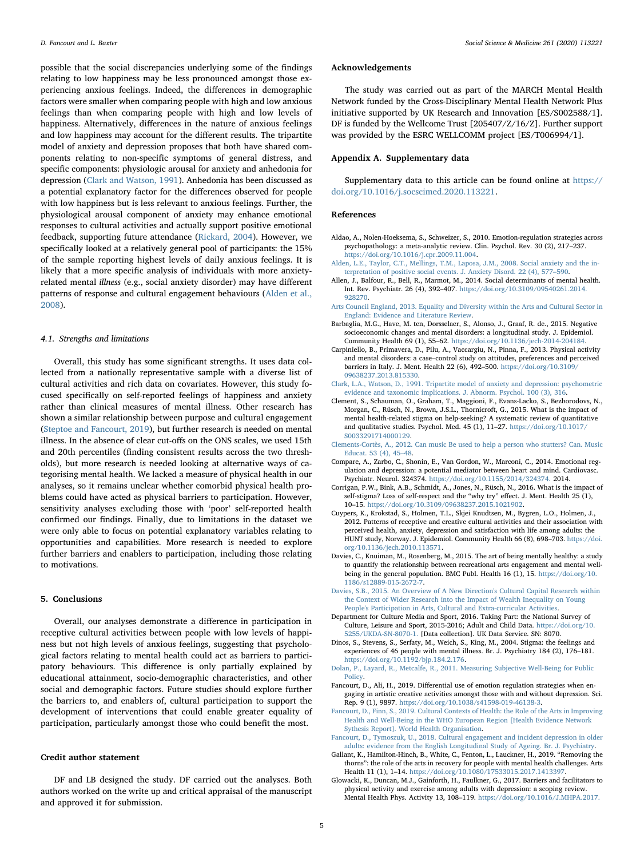possible that the social discrepancies underlying some of the findings relating to low happiness may be less pronounced amongst those experiencing anxious feelings. Indeed, the differences in demographic factors were smaller when comparing people with high and low anxious feelings than when comparing people with high and low levels of happiness. Alternatively, differences in the nature of anxious feelings and low happiness may account for the different results. The tripartite model of anxiety and depression proposes that both have shared components relating to non-specific symptoms of general distress, and specific components: physiologic arousal for anxiety and anhedonia for depression [\(Clark and Watson, 1991](#page-4-20)). Anhedonia has been discussed as a potential explanatory factor for the differences observed for people with low happiness but is less relevant to anxious feelings. Further, the physiological arousal component of anxiety may enhance emotional responses to cultural activities and actually support positive emotional feedback, supporting future attendance [\(Rickard, 2004\)](#page-5-21). However, we specifically looked at a relatively general pool of participants: the 15% of the sample reporting highest levels of daily anxious feelings. It is likely that a more specific analysis of individuals with more anxietyrelated mental illness (e.g., social anxiety disorder) may have different patterns of response and cultural engagement behaviours ([Alden et al.,](#page-4-21) [2008\)](#page-4-21).

### 4.1. Strengths and limitations

Overall, this study has some significant strengths. It uses data collected from a nationally representative sample with a diverse list of cultural activities and rich data on covariates. However, this study focused specifically on self-reported feelings of happiness and anxiety rather than clinical measures of mental illness. Other research has shown a similar relationship between purpose and cultural engagement ([Steptoe and Fancourt, 2019\)](#page-5-8), but further research is needed on mental illness. In the absence of clear cut-offs on the ONS scales, we used 15th and 20th percentiles (finding consistent results across the two thresholds), but more research is needed looking at alternative ways of categorising mental health. We lacked a measure of physical health in our analyses, so it remains unclear whether comorbid physical health problems could have acted as physical barriers to participation. However, sensitivity analyses excluding those with 'poor' self-reported health confirmed our findings. Finally, due to limitations in the dataset we were only able to focus on potential explanatory variables relating to opportunities and capabilities. More research is needed to explore further barriers and enablers to participation, including those relating to motivations.

#### 5. Conclusions

Overall, our analyses demonstrate a difference in participation in receptive cultural activities between people with low levels of happiness but not high levels of anxious feelings, suggesting that psychological factors relating to mental health could act as barriers to participatory behaviours. This difference is only partially explained by educational attainment, socio-demographic characteristics, and other social and demographic factors. Future studies should explore further the barriers to, and enablers of, cultural participation to support the development of interventions that could enable greater equality of participation, particularly amongst those who could benefit the most.

#### Credit author statement

DF and LB designed the study. DF carried out the analyses. Both authors worked on the write up and critical appraisal of the manuscript and approved it for submission.

#### Acknowledgements

The study was carried out as part of the MARCH Mental Health Network funded by the Cross-Disciplinary Mental Health Network Plus initiative supported by UK Research and Innovation [ES/S002588/1]. DF is funded by the Wellcome Trust [205407/Z/16/Z]. Further support was provided by the ESRC WELLCOMM project [ES/T006994/1].

## Appendix A. Supplementary data

Supplementary data to this article can be found online at [https://](https://doi.org/10.1016/j.socscimed.2020.113221) [doi.org/10.1016/j.socscimed.2020.113221](https://doi.org/10.1016/j.socscimed.2020.113221).

## References

- <span id="page-4-16"></span>Aldao, A., Nolen-Hoeksema, S., Schweizer, S., 2010. Emotion-regulation strategies across psychopathology: a meta-analytic review. Clin. Psychol. Rev. 30 (2), 217–237. [https://doi.org/10.1016/j.cpr.2009.11.004.](https://doi.org/10.1016/j.cpr.2009.11.004)
- <span id="page-4-21"></span>[Alden, L.E., Taylor, C.T., Mellings, T.M., Laposa, J.M., 2008. Social anxiety and the in](http://refhub.elsevier.com/S0277-9536(20)30440-8/sref2)[terpretation of positive social events. J. Anxiety Disord. 22 \(4\), 577](http://refhub.elsevier.com/S0277-9536(20)30440-8/sref2)–590.
- <span id="page-4-10"></span>Allen, J., Balfour, R., Bell, R., Marmot, M., 2014. Social determinants of mental health. Int. Rev. Psychiatr. 26 (4), 392–407. [https://doi.org/10.3109/09540261.2014.](https://doi.org/10.3109/09540261.2014.928270) [928270](https://doi.org/10.3109/09540261.2014.928270).
- <span id="page-4-4"></span>[Arts Council England, 2013. Equality and Diversity within the Arts and Cultural Sector in](http://refhub.elsevier.com/S0277-9536(20)30440-8/sref4) [England: Evidence and Literature Review](http://refhub.elsevier.com/S0277-9536(20)30440-8/sref4).
- <span id="page-4-19"></span>Barbaglia, M.G., Have, M. ten, Dorsselaer, S., Alonso, J., Graaf, R. de., 2015. Negative socioeconomic changes and mental disorders: a longitudinal study. J. Epidemiol. Community Health 69 (1), 55–62. <https://doi.org/10.1136/jech-2014-204184>.
- <span id="page-4-6"></span>Carpiniello, B., Primavera, D., Pilu, A., Vaccargiu, N., Pinna, F., 2013. Physical activity and mental disorders: a case–control study on attitudes, preferences and perceived barriers in Italy. J. Ment. Health 22 (6), 492–500. [https://doi.org/10.3109/](https://doi.org/10.3109/09638237.2013.815330) [09638237.2013.815330.](https://doi.org/10.3109/09638237.2013.815330)
- <span id="page-4-20"></span>[Clark, L.A., Watson, D., 1991. Tripartite model of anxiety and depression: psychometric](http://refhub.elsevier.com/S0277-9536(20)30440-8/sref7) [evidence and taxonomic implications. J. Abnorm. Psychol. 100 \(3\), 316.](http://refhub.elsevier.com/S0277-9536(20)30440-8/sref7)
- <span id="page-4-15"></span>Clement, S., Schauman, O., Graham, T., Maggioni, F., Evans-Lacko, S., Bezborodovs, N., Morgan, C., Rüsch, N., Brown, J.S.L., Thornicroft, G., 2015. What is the impact of mental health-related stigma on help-seeking? A systematic review of quantitative and qualitative studies. Psychol. Med. 45 (1), 11–27. [https://doi.org/10.1017/](https://doi.org/10.1017/S0033291714000129) [S0033291714000129](https://doi.org/10.1017/S0033291714000129).
- <span id="page-4-2"></span>[Clements-Cortès, A., 2012. Can music Be used to help a person who stutters? Can. Music](http://refhub.elsevier.com/S0277-9536(20)30440-8/sref9) [Educat. 53 \(4\), 45](http://refhub.elsevier.com/S0277-9536(20)30440-8/sref9)–48.
- <span id="page-4-17"></span>Compare, A., Zarbo, C., Shonin, E., Van Gordon, W., Marconi, C., 2014. Emotional regulation and depression: a potential mediator between heart and mind. Cardiovasc. Psychiatr. Neurol. 324374. [https://doi.org/10.1155/2014/324374.](https://doi.org/10.1155/2014/324374) 2014.
- <span id="page-4-14"></span>Corrigan, P.W., Bink, A.B., Schmidt, A., Jones, N., Rüsch, N., 2016. What is the impact of self-stigma? Loss of self-respect and the "why try" effect. J. Ment. Health 25 (1), 10–15. [https://doi.org/10.3109/09638237.2015.1021902.](https://doi.org/10.3109/09638237.2015.1021902)
- <span id="page-4-1"></span>Cuypers, K., Krokstad, S., Holmen, T.L., Skjei Knudtsen, M., Bygren, L.O., Holmen, J., 2012. Patterns of receptive and creative cultural activities and their association with perceived health, anxiety, depression and satisfaction with life among adults: the HUNT study, Norway. J. Epidemiol. Community Health 66 (8), 698–703. [https://doi.](https://doi.org/10.1136/jech.2010.113571) [org/10.1136/jech.2010.113571.](https://doi.org/10.1136/jech.2010.113571)
- <span id="page-4-11"></span>Davies, C., Knuiman, M., Rosenberg, M., 2015. The art of being mentally healthy: a study to quantify the relationship between recreational arts engagement and mental wellbeing in the general population. BMC Publ. Health 16 (1), 15. [https://doi.org/10.](https://doi.org/10.1186/s12889-015-2672-7) [1186/s12889-015-2672-7](https://doi.org/10.1186/s12889-015-2672-7).
- <span id="page-4-5"></span>[Davies, S.B., 2015. An Overview of A New Direction's Cultural Capital Research within](http://refhub.elsevier.com/S0277-9536(20)30440-8/sref14) [the Context of Wider Research into the Impact of Wealth Inequality on Young](http://refhub.elsevier.com/S0277-9536(20)30440-8/sref14) [People's Participation in Arts, Cultural and Extra-curricular Activities.](http://refhub.elsevier.com/S0277-9536(20)30440-8/sref14)
- <span id="page-4-8"></span>Department for Culture Media and Sport, 2016. Taking Part: the National Survey of Culture, Leisure and Sport, 2015-2016; Adult and Child Data. [https://doi.org/10.](https://doi.org/10.5255/UKDA-SN-8070-1) [5255/UKDA-SN-8070-1.](https://doi.org/10.5255/UKDA-SN-8070-1) [Data collection]. UK Data Service. SN: 8070.
- <span id="page-4-12"></span>Dinos, S., Stevens, S., Serfaty, M., Weich, S., King, M., 2004. Stigma: the feelings and experiences of 46 people with mental illness. Br. J. Psychiatry 184 (2), 176–181. [https://doi.org/10.1192/bjp.184.2.176.](https://doi.org/10.1192/bjp.184.2.176)
- <span id="page-4-9"></span>[Dolan, P., Layard, R., Metcalfe, R., 2011. Measuring Subjective Well-Being for Public](http://refhub.elsevier.com/S0277-9536(20)30440-8/sref17) [Policy.](http://refhub.elsevier.com/S0277-9536(20)30440-8/sref17)
- <span id="page-4-18"></span>Fancourt, D., Ali, H., 2019. Differential use of emotion regulation strategies when engaging in artistic creative activities amongst those with and without depression. Sci. Rep. 9 (1), 9897. <https://doi.org/10.1038/s41598-019-46138-3>.
- <span id="page-4-0"></span>[Fancourt, D., Finn, S., 2019. Cultural Contexts of Health: the Role of the Arts in Improving](http://refhub.elsevier.com/S0277-9536(20)30440-8/sref19) [Health and Well-Being in the WHO European Region \[Health Evidence Network](http://refhub.elsevier.com/S0277-9536(20)30440-8/sref19) [Sythesis Report\]. World Health Organisation.](http://refhub.elsevier.com/S0277-9536(20)30440-8/sref19)
- <span id="page-4-3"></span>[Fancourt, D., Tymoszuk, U., 2018. Cultural engagement and incident depression in older](http://refhub.elsevier.com/S0277-9536(20)30440-8/sref20) [adults: evidence from the English Longitudinal Study of Ageing. Br. J. Psychiatry](http://refhub.elsevier.com/S0277-9536(20)30440-8/sref20).
- <span id="page-4-13"></span>Gallant, K., Hamilton-Hinch, B., White, C., Fenton, L., Lauckner, H., 2019. "Removing the thorns": the role of the arts in recovery for people with mental health challenges. Arts Health 11 (1), 1–14. [https://doi.org/10.1080/17533015.2017.1413397.](https://doi.org/10.1080/17533015.2017.1413397)
- <span id="page-4-7"></span>Glowacki, K., Duncan, M.J., Gainforth, H., Faulkner, G., 2017. Barriers and facilitators to physical activity and exercise among adults with depression: a scoping review. Mental Health Phys. Activity 13, 108–119. [https://doi.org/10.1016/J.MHPA.2017.](https://doi.org/10.1016/J.MHPA.2017.10.001)